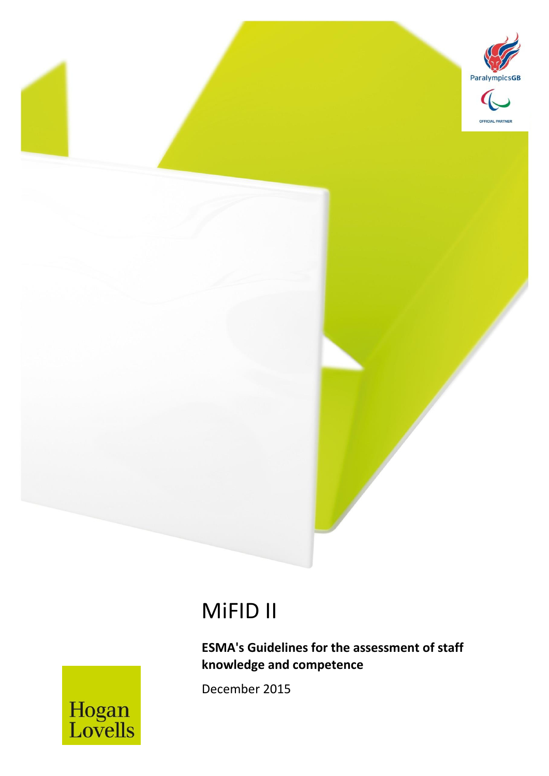

# MiFID II

MiFID II *December 2015* 1

**ESMA's Guidelines for the assessment of staff knowledge and competence**

December 2015

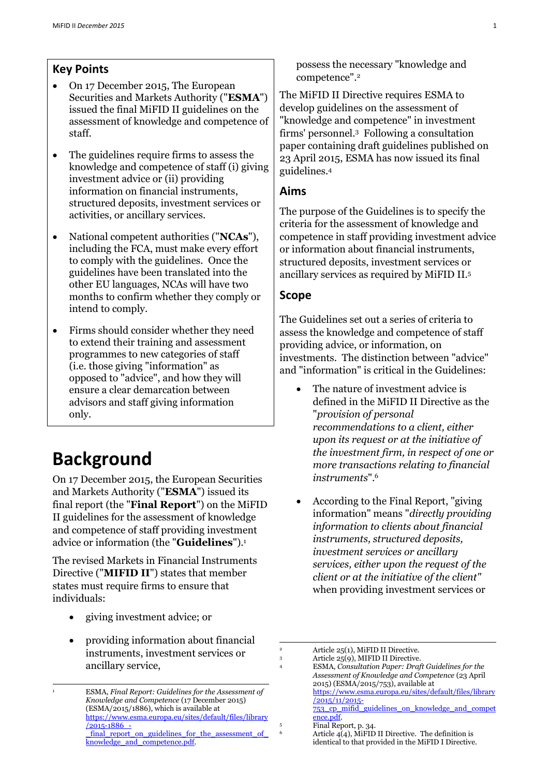### **Key Points**

- On 17 December 2015, The European Securities and Markets Authority ("**ESMA**") issued the final MiFID II guidelines on the assessment of knowledge and competence of staff.
- The guidelines require firms to assess the knowledge and competence of staff (i) giving investment advice or (ii) providing information on financial instruments, structured deposits, investment services or activities, or ancillary services.
- National competent authorities ("**NCAs**"), including the FCA, must make every effort to comply with the guidelines. Once the guidelines have been translated into the other EU languages, NCAs will have two months to confirm whether they comply or intend to comply.
- Firms should consider whether they need to extend their training and assessment programmes to new categories of staff (i.e. those giving "information" as opposed to "advice", and how they will ensure a clear demarcation between advisors and staff giving information only.

# **Background**

-

On 17 December 2015, the European Securities and Markets Authority ("**ESMA**") issued its final report (the "**Final Report**") on the MiFID II guidelines for the assessment of knowledge and competence of staff providing investment advice or information (the "**Guidelines**").<sup>1</sup>

The revised Markets in Financial Instruments Directive ("**MIFID II**") states that member states must require firms to ensure that individuals:

- giving investment advice; or
- providing information about financial instruments, investment services or ancillary service,

possess the necessary "knowledge and competence".<sup>2</sup>

The MiFID II Directive requires ESMA to develop guidelines on the assessment of "knowledge and competence" in investment firms' personnel.<sup>3</sup> Following a consultation paper containing draft guidelines published on 23 April 2015, ESMA has now issued its final guidelines.<sup>4</sup>

#### **Aims**

The purpose of the Guidelines is to specify the criteria for the assessment of knowledge and competence in staff providing investment advice or information about financial instruments, structured deposits, investment services or ancillary services as required by MiFID II.<sup>5</sup>

#### **Scope**

The Guidelines set out a series of criteria to assess the knowledge and competence of staff providing advice, or information, on investments. The distinction between "advice" and "information" is critical in the Guidelines:

- The nature of investment advice is defined in the MiFID II Directive as the "*provision of personal recommendations to a client, either upon its request or at the initiative of the investment firm, in respect of one or more transactions relating to financial instruments*".<sup>6</sup>
- According to the Final Report, "giving information" means "*directly providing information to clients about financial instruments, structured deposits, investment services or ancillary services, either upon the request of the client or at the initiative of the client"* when providing investment services or

1

<sup>1</sup> ESMA, *Final Report: Guidelines for the Assessment of Knowledge and Competence* (17 December 2015) (ESMA/2015/1886), which is available at [https://www.esma.europa.eu/sites/default/files/library](https://www.esma.europa.eu/sites/default/files/library/2015-1886_-_final_report_on_guidelines_for_the_assessment_of_knowledge_and_competence.pdf) [/2015-1886\\_](https://www.esma.europa.eu/sites/default/files/library/2015-1886_-_final_report_on_guidelines_for_the_assessment_of_knowledge_and_competence.pdf) final\_report\_on\_guidelines\_for\_the\_assessment\_of [knowledge\\_and\\_competence.pdf.](https://www.esma.europa.eu/sites/default/files/library/2015-1886_-_final_report_on_guidelines_for_the_assessment_of_knowledge_and_competence.pdf)

<sup>&</sup>lt;sup>2</sup> Article 25(1), MiFID II Directive.<br>3 Article 25(0) MIFID II Directive

<sup>3</sup> Article 25(9), MIFID II Directive.

<sup>4</sup> ESMA, *Consultation Paper: Draft Guidelines for the Assessment of Knowledge and Competence* (23 April 2015) (ESMA/2015/753), available at [https://www.esma.europa.eu/sites/default/files/library](https://www.esma.europa.eu/sites/default/files/library/2015/11/2015-753_cp_mifid_guidelines_on_knowledge_and_competence.pdf) [/2015/11/2015-](https://www.esma.europa.eu/sites/default/files/library/2015/11/2015-753_cp_mifid_guidelines_on_knowledge_and_competence.pdf) [753\\_cp\\_mifid\\_guidelines\\_on\\_knowledge\\_and\\_compet](https://www.esma.europa.eu/sites/default/files/library/2015/11/2015-753_cp_mifid_guidelines_on_knowledge_and_competence.pdf) [ence.pdf.](https://www.esma.europa.eu/sites/default/files/library/2015/11/2015-753_cp_mifid_guidelines_on_knowledge_and_competence.pdf) 

<sup>5</sup> Final Report, p. 34.

Article  $\overline{4(4)}$ , MiFID II Directive. The definition is identical to that provided in the MiFID I Directive.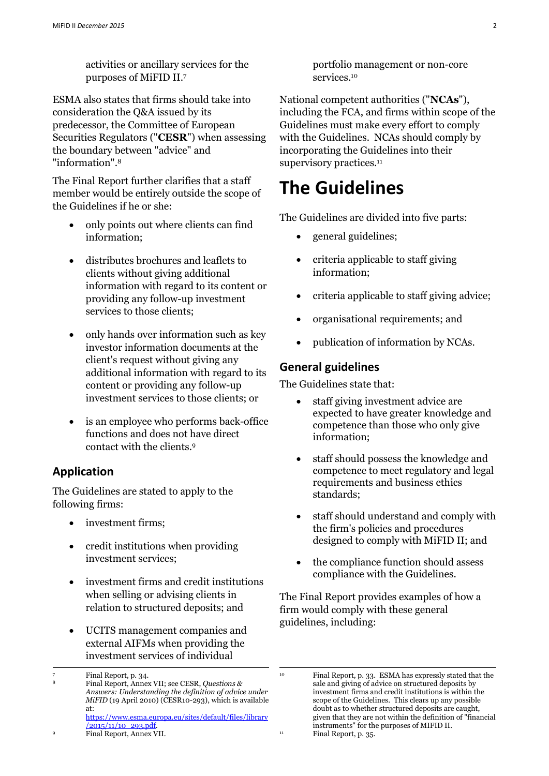activities or ancillary services for the purposes of MiFID II.<sup>7</sup>

ESMA also states that firms should take into consideration the Q&A issued by its predecessor, the Committee of European Securities Regulators ("**CESR**") when assessing the boundary between "advice" and "information".<sup>8</sup>

The Final Report further clarifies that a staff member would be entirely outside the scope of the Guidelines if he or she:

- only points out where clients can find information;
- distributes brochures and leaflets to clients without giving additional information with regard to its content or providing any follow-up investment services to those clients;
- only hands over information such as key investor information documents at the client's request without giving any additional information with regard to its content or providing any follow-up investment services to those clients; or
- is an employee who performs back-office functions and does not have direct contact with the clients.<sup>9</sup>

### **Application**

The Guidelines are stated to apply to the following firms:

- investment firms;
- credit institutions when providing investment services;
- investment firms and credit institutions when selling or advising clients in relation to structured deposits; and
- UCITS management companies and external AIFMs when providing the investment services of individual

-

<sup>9</sup> Final Report, Annex VII.

portfolio management or non-core services. 10

National competent authorities ("**NCAs**"), including the FCA, and firms within scope of the Guidelines must make every effort to comply with the Guidelines. NCAs should comply by incorporating the Guidelines into their supervisory practices.<sup>11</sup>

## **The Guidelines**

The Guidelines are divided into five parts:

- general guidelines;
- criteria applicable to staff giving information;
- criteria applicable to staff giving advice;
- organisational requirements; and
- publication of information by NCAs.

#### **General guidelines**

1

The Guidelines state that:

- staff giving investment advice are expected to have greater knowledge and competence than those who only give information;
- staff should possess the knowledge and competence to meet regulatory and legal requirements and business ethics standards;
- staff should understand and comply with the firm's policies and procedures designed to comply with MiFID II; and
- the compliance function should assess compliance with the Guidelines.

The Final Report provides examples of how a firm would comply with these general guidelines, including:

Final Report, p. 34.

<sup>8</sup> Final Report, Annex VII; see CESR, *Questions & Answers: Understanding the definition of advice under MiFID* (19 April 2010) (CESR10-293), which is available at: [https://www.esma.europa.eu/sites/default/files/library](https://www.esma.europa.eu/sites/default/files/library/2015/11/10_293.pdf)

[<sup>/2015/11/10</sup>\\_293.pdf.](https://www.esma.europa.eu/sites/default/files/library/2015/11/10_293.pdf)

<sup>10</sup> Final Report, p. 33. ESMA has expressly stated that the sale and giving of advice on structured deposits by investment firms and credit institutions is within the scope of the Guidelines. This clears up any possible doubt as to whether structured deposits are caught, given that they are not within the definition of "financial instruments" for the purposes of MIFID II. <sup>11</sup> Final Report, p. 35.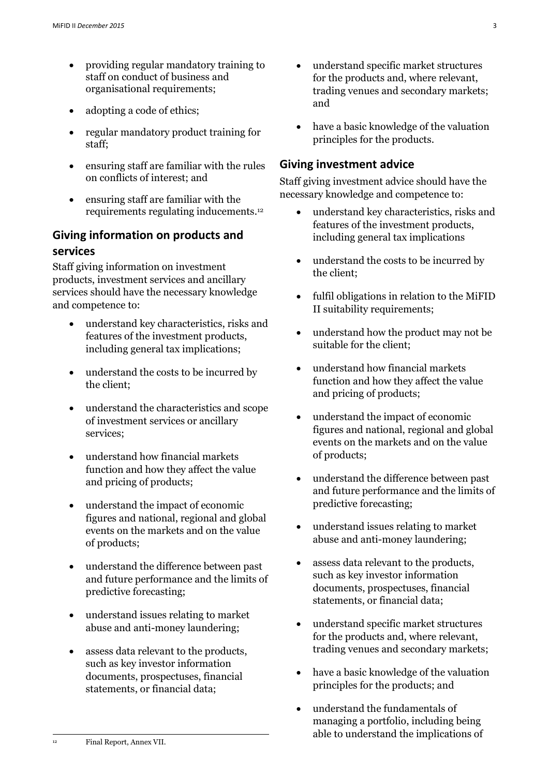- providing regular mandatory training to staff on conduct of business and organisational requirements;
- adopting a code of ethics;
- regular mandatory product training for staff;
- ensuring staff are familiar with the rules on conflicts of interest; and
- ensuring staff are familiar with the requirements regulating inducements.<sup>12</sup>

## **Giving information on products and services**

Staff giving information on investment products, investment services and ancillary services should have the necessary knowledge and competence to:

- understand key characteristics, risks and features of the investment products, including general tax implications;
- understand the costs to be incurred by the client;
- understand the characteristics and scope of investment services or ancillary services;
- understand how financial markets function and how they affect the value and pricing of products;
- understand the impact of economic figures and national, regional and global events on the markets and on the value of products;
- understand the difference between past and future performance and the limits of predictive forecasting;
- understand issues relating to market abuse and anti-money laundering;
- assess data relevant to the products, such as key investor information documents, prospectuses, financial statements, or financial data;
- understand specific market structures for the products and, where relevant, trading venues and secondary markets; and
- have a basic knowledge of the valuation principles for the products.

## **Giving investment advice**

Staff giving investment advice should have the necessary knowledge and competence to:

- understand key characteristics, risks and features of the investment products, including general tax implications
- understand the costs to be incurred by the client;
- fulfil obligations in relation to the MiFID II suitability requirements;
- understand how the product may not be suitable for the client;
- understand how financial markets function and how they affect the value and pricing of products;
- understand the impact of economic figures and national, regional and global events on the markets and on the value of products;
- understand the difference between past and future performance and the limits of predictive forecasting;
- understand issues relating to market abuse and anti-money laundering;
- assess data relevant to the products, such as key investor information documents, prospectuses, financial statements, or financial data;
- understand specific market structures for the products and, where relevant, trading venues and secondary markets;
- have a basic knowledge of the valuation principles for the products; and
- understand the fundamentals of managing a portfolio, including being able to understand the implications of

 $12$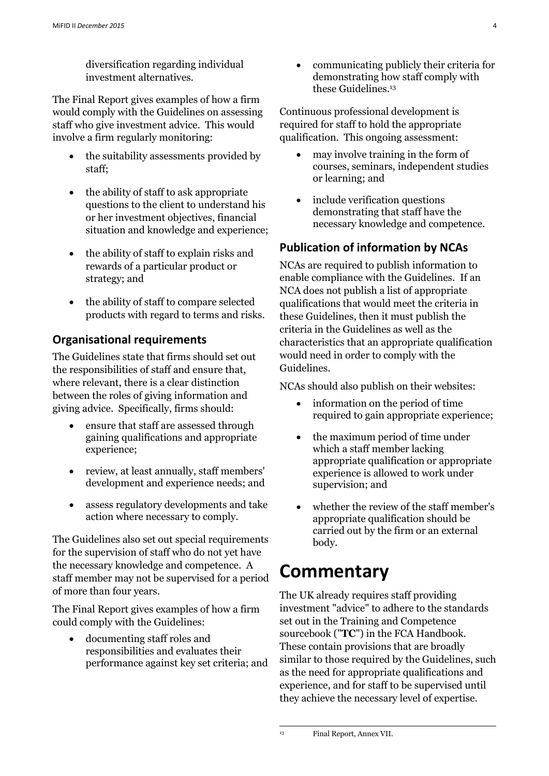diversification regarding individual investment alternatives.

The Final Report gives examples of how a firm would comply with the Guidelines on assessing staff who give investment advice. This would involve a firm regularly monitoring:

- the suitability assessments provided by staff;
- the ability of staff to ask appropriate questions to the client to understand his or her investment objectives, financial situation and knowledge and experience;
- the ability of staff to explain risks and rewards of a particular product or strategy; and
- the ability of staff to compare selected products with regard to terms and risks.

## **Organisational requirements**

The Guidelines state that firms should set out the responsibilities of staff and ensure that, where relevant, there is a clear distinction between the roles of giving information and giving advice. Specifically, firms should:

- ensure that staff are assessed through gaining qualifications and appropriate experience;
- review, at least annually, staff members' development and experience needs; and
- assess regulatory developments and take action where necessary to comply.

The Guidelines also set out special requirements for the supervision of staff who do not yet have the necessary knowledge and competence. A staff member may not be supervised for a period of more than four years.

The Final Report gives examples of how a firm could comply with the Guidelines:

 documenting staff roles and responsibilities and evaluates their performance against key set criteria; and  communicating publicly their criteria for demonstrating how staff comply with these Guidelines.<sup>13</sup>

Continuous professional development is required for staff to hold the appropriate qualification. This ongoing assessment:

- may involve training in the form of courses, seminars, independent studies or learning; and
- include verification questions demonstrating that staff have the necessary knowledge and competence.

## **Publication of information by NCAs**

NCAs are required to publish information to enable compliance with the Guidelines. If an NCA does not publish a list of appropriate qualifications that would meet the criteria in these Guidelines, then it must publish the criteria in the Guidelines as well as the characteristics that an appropriate qualification would need in order to comply with the Guidelines.

NCAs should also publish on their websites:

- information on the period of time required to gain appropriate experience;
- the maximum period of time under which a staff member lacking appropriate qualification or appropriate experience is allowed to work under supervision; and
- whether the review of the staff member's appropriate qualification should be carried out by the firm or an external body.

# **Commentary**

The UK already requires staff providing investment "advice" to adhere to the standards set out in the Training and Competence sourcebook ("**TC**") in the FCA Handbook. These contain provisions that are broadly similar to those required by the Guidelines, such as the need for appropriate qualifications and experience, and for staff to be supervised until they achieve the necessary level of expertise.

1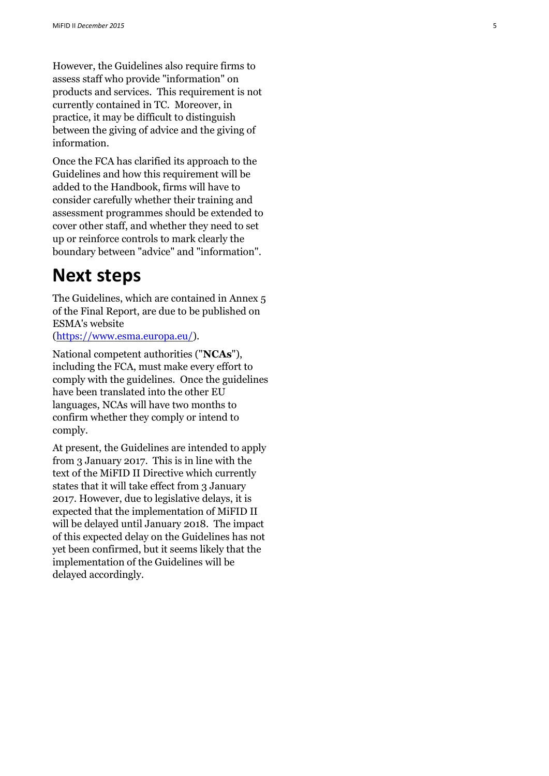However, the Guidelines also require firms to assess staff who provide "information" on products and services. This requirement is not currently contained in TC. Moreover, in practice, it may be difficult to distinguish between the giving of advice and the giving of information.

Once the FCA has clarified its approach to the Guidelines and how this requirement will be added to the Handbook, firms will have to consider carefully whether their training and assessment programmes should be extended to cover other staff, and whether they need to set up or reinforce controls to mark clearly the boundary between "advice" and "information".

## **Next steps**

The Guidelines, which are contained in Annex 5 of the Final Report, are due to be published on ESMA's website<br>[\(https://www.esma.europa.eu/\)](https://www.esma.europa.eu/).

National competent authorities ("**NCAs**"), including the FCA, must make every effort to comply with the guidelines. Once the guidelines have been translated into the other EU languages, NCAs will have two months to confirm whether they comply or intend to comply.

At present, the Guidelines are intended to apply from 3 January 2017. This is in line with the text of the MiFID II Directive which currently states that it will take effect from 3 January 2017. However, due to legislative delays, it is expected that the implementation of MiFID II will be delayed until January 2018. The impact of this expected delay on the Guidelines has not yet been confirmed, but it seems likely that the implementation of the Guidelines will be delayed accordingly.